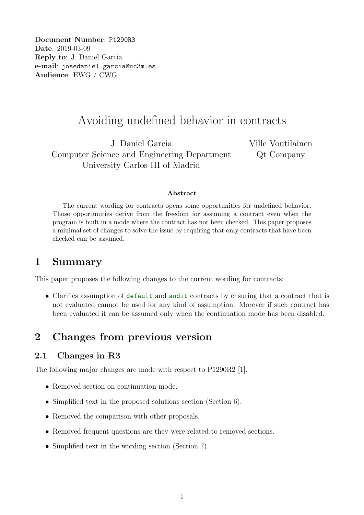Document Number: P1290R3 Date: 2019-03-09 Reply to: J. Daniel Garcia e-mail: josedaniel.garcia@uc3m.es Audience: EWG / CWG

# Avoiding undefined behavior in contracts

J. Daniel Garcia Computer Science and Engineering Department University Carlos III of Madrid

Ville Voutilainen Qt Company

#### Abstract

The current wording for contracts opens some opportunities for undefined behavior. Those opportunities derive from the freedom for assuming a contract even when the program is built in a mode where the contract has not been checked. This paper proposes a minimal set of changes to solve the issue by requiring that only contracts that have been checked can be assumed.

## 1 Summary

This paper proposes the following changes to the current wording for contracts:

• Clarifies assumption of default and audit contracts by ensuring that a contract that is not evaluated cannot be used for any kind of assumption. Morever if such contract has been evaluated it can be assumed only when the continuation mode has been disabled.

# 2 Changes from previous version

### 2.1 Changes in R3

The following major changes are made with respect to P1290R2 [1].

- Removed section on continuation mode.
- Simplified text in the proposed solutions section (Section 6).
- Removed the comparison with other proposals.
- Removed frequent questions are they were related to removed sections.
- Simplified text in the wording section (Section 7).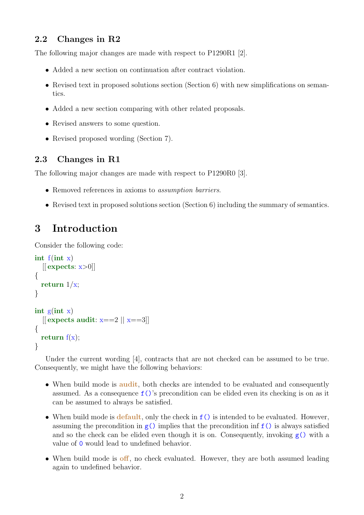## 2.2 Changes in R2

The following major changes are made with respect to P1290R1 [2].

- Added a new section on continuation after contract violation.
- Revised text in proposed solutions section (Section 6) with new simplifications on semantics.
- Added a new section comparing with other related proposals.
- Revised answers to some question.
- Revised proposed wording (Section 7).

## 2.3 Changes in R1

The following major changes are made with respect to P1290R0 [3].

- Removed references in axioms to assumption barriers.
- Revised text in proposed solutions section (Section 6) including the summary of semantics.

# 3 Introduction

Consider the following code:

```
int f(int x)[[ expects: x>0]{
  return 1/x;
}
int g(int x)\| expects audit: x==2 \| x==3\|{
  return f(x);
}
```
Under the current wording [4], contracts that are not checked can be assumed to be true. Consequently, we might have the following behaviors:

- When build mode is **audit**, both checks are intended to be evaluated and consequently assumed. As a consequence f()'s precondition can be elided even its checking is on as it can be assumed to always be satisfied.
- When build mode is default, only the check in  $f()$  is intended to be evaluated. However, assuming the precondition in  $g()$  implies that the precondition inf  $f()$  is always satisfied and so the check can be elided even though it is on. Consequently, invoking  $g()$  with a value of 0 would lead to undefined behavior.
- When build mode is off, no check evaluated. However, they are both assumed leading again to undefined behavior.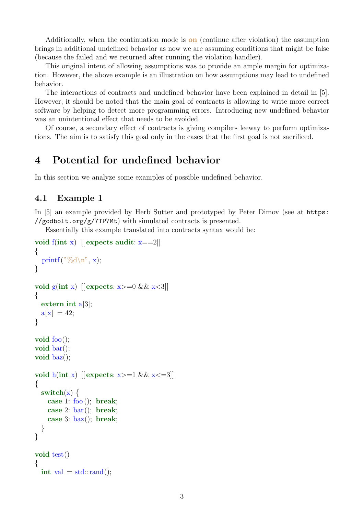Additionally, when the continuation mode is on (continue after violation) the assumption brings in additional undefined behavior as now we are assuming conditions that might be false (because the failed and we returned after running the violation handler).

This original intent of allowing assumptions was to provide an ample margin for optimization. However, the above example is an illustration on how assumptions may lead to undefined behavior.

The interactions of contracts and undefined behavior have been explained in detail in [5]. However, it should be noted that the main goal of contracts is allowing to write more correct software by helping to detect more programming errors. Introducing new undefined behavior was an unintentional effect that needs to be avoided.

Of course, a secondary effect of contracts is giving compilers leeway to perform optimizations. The aim is to satisfy this goal only in the cases that the first goal is not sacrificed.

# 4 Potential for undefined behavior

In this section we analyze some examples of possible undefined behavior.

## 4.1 Example 1

In [5] an example provided by Herb Sutter and prototyped by Peter Dimov (see at https: //godbolt.org/g/7TP7Mt) with simulated contracts is presented.

Essentially this example translated into contracts syntax would be:

```
void f(int x) \vert[ expects audit: x==2]]
{
  printf("%d\n", x);
}
void g(int x) \left[ expects: x>=0 && x<3\right]{
  extern int a[3];
  a[x] = 42;}
void foo();
void bar();
void baz();
void h(int x) \vert[ expects: x>=1 && x<=3]]
{
  switch(x) {
    case 1: foo (); break;
    case 2: bar(); break;
    case 3: \text{baz}(); break;
  }
}
void test()
{
  int val = std::rand();
```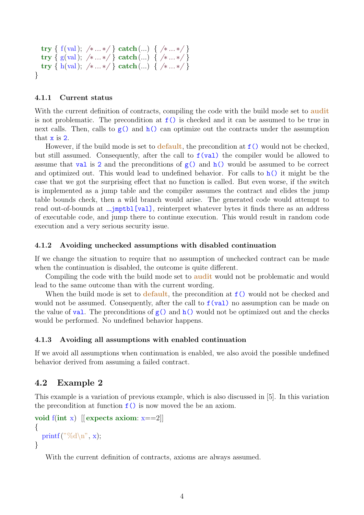```
try { f(val); /*... */ } catch(...) { /*... */ }
  try { g(val); /* ... */ } catch(...) { /* ... */ }
  try { h(val); /* ... */ } catch(...) { /* ... */ }
}
```
#### 4.1.1 Current status

With the current definition of contracts, compiling the code with the build mode set to audit is not problematic. The precondition at  $f()$  is checked and it can be assumed to be true in next calls. Then, calls to  $g()$  and  $h()$  can optimize out the contracts under the assumption that x is 2.

However, if the build mode is set to **default**, the precondition at  $f()$  would not be checked, but still assumed. Consequently, after the call to  $f(\text{val})$  the compiler would be allowed to assume that val is 2 and the preconditions of  $g()$  and  $h()$  would be assumed to be correct and optimized out. This would lead to undefined behavior. For calls to  $h()$  it might be the case that we got the surprising effect that no function is called. But even worse, if the switch is implemented as a jump table and the compiler assumes the contract and elides the jump table bounds check, then a wild branch would arise. The generated code would attempt to read out-of-bounds at <sub>-</sub>jmptbl[val], reinterpret whatever bytes it finds there as an address of executable code, and jump there to continue execution. This would result in random code execution and a very serious security issue.

#### 4.1.2 Avoiding unchecked assumptions with disabled continuation

If we change the situation to require that no assumption of unchecked contract can be made when the continuation is disabled, the outcome is quite different.

Compiling the code with the build mode set to **audit** would not be problematic and would lead to the same outcome than with the current wording.

When the build mode is set to default, the precondition at  $f()$  would not be checked and would not be assumed. Consequently, after the call to  $f(\text{val})$  no assumption can be made on the value of val. The preconditions of  $g()$  and  $h()$  would not be optimized out and the checks would be performed. No undefined behavior happens.

#### 4.1.3 Avoiding all assumptions with enabled continuation

If we avoid all assumptions when continuation is enabled, we also avoid the possible undefined behavior derived from assuming a failed contract.

#### 4.2 Example 2

This example is a variation of previous example, which is also discussed in [5]. In this variation the precondition at function  $f()$  is now moved the be an axiom.

```
void f(int x) \vert[ expects axiom: x==2]]
{
  printf("%d\n", x);
}
```
With the current definition of contracts, axioms are always assumed.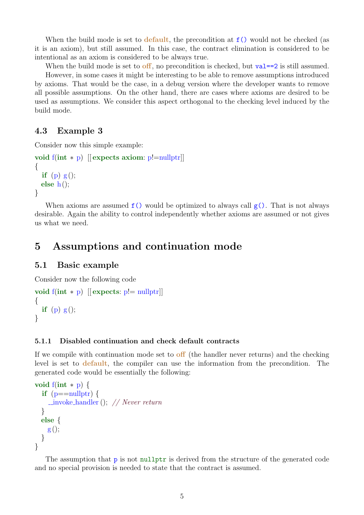When the build mode is set to default, the precondition at  $f()$  would not be checked (as it is an axiom), but still assumed. In this case, the contract elimination is considered to be intentional as an axiom is considered to be always true.

When the build mode is set to **off**, no precondition is checked, but val= $=2$  is still assumed. However, in some cases it might be interesting to be able to remove assumptions introduced by axioms. That would be the case, in a debug version where the developer wants to remove all possible assumptions. On the other hand, there are cases where axioms are desired to be used as assumptions. We consider this aspect orthogonal to the checking level induced by the build mode.

### 4.3 Example 3

Consider now this simple example:

```
void f(int \ast p) [[ expects axiom: p!=nullptr]]
{
  if (p) g();
  else h();
}
```
When axioms are assumed  $f()$  would be optimized to always call  $g()$ . That is not always desirable. Again the ability to control independently whether axioms are assumed or not gives us what we need.

# 5 Assumptions and continuation mode

#### 5.1 Basic example

Consider now the following code

```
void f(int * p) [[ expects: p!=\text{nullptr}]]
\{if (p) g();
}
```
#### 5.1.1 Disabled continuation and check default contracts

If we compile with continuation mode set to **off** (the handler never returns) and the checking level is set to default, the compiler can use the information from the precondition. The generated code would be essentially the following:

```
void f(int * p) {
  if (p == nullptr) {
    \text{\_}invoke\_handler(); // Never return
  }
  else {
    g();
  }
}
```
The assumption that  $\bar{p}$  is not nullptr is derived from the structure of the generated code and no special provision is needed to state that the contract is assumed.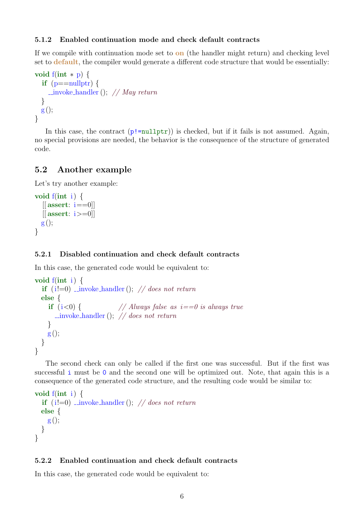#### 5.1.2 Enabled continuation mode and check default contracts

If we compile with continuation mode set to  $\mathbf{on}$  (the handler might return) and checking level set to **default**, the compiler would generate a different code structure that would be essentially:

```
void f(int * p) {
  if (p == nullptr) {
    \lnotinvoke handler(); // May return
  }
  g();
}
```
In this case, the contract  $(p!=\text{nullptr})$  is checked, but if it fails is not assumed. Again, no special provisions are needed, the behavior is the consequence of the structure of generated code.

## 5.2 Another example

Let's try another example:

```
void f(int i) \{[[assert: i==0]]
  [[assert: i>=0]]
  g();
}
```
### 5.2.1 Disabled continuation and check default contracts

In this case, the generated code would be equivalent to:

```
void f(int i) {
  if (i!=0) invoke handler(); // does not return
  else {
    if (i<0) { // Always false as i==0 is always true
      \text{\_}invoke\_handler(); // does not return
    }
   g();
  }
}
```
The second check can only be called if the first one was successful. But if the first was successful i must be 0 and the second one will be optimized out. Note, that again this is a consequence of the generated code structure, and the resulting code would be similar to:

```
void f(int i) {
  if (i!=0) invoke handler(); // does not return
  else {
    g();
  }
}
```
### 5.2.2 Enabled continuation and check default contracts

In this case, the generated code would be equivalent to: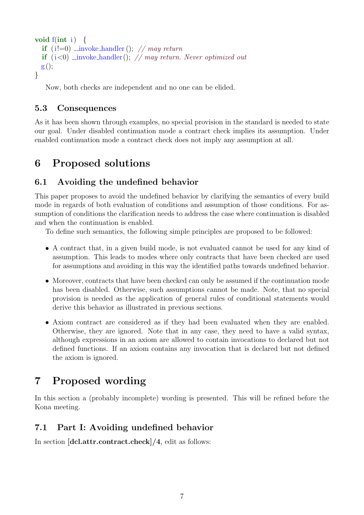```
void f(int i) \{if (i!=0) _invoke handler(); // may return
  if (i<0) invoke handler(); // may return. Never optimized out
  g();
}
```
Now, both checks are independent and no one can be elided.

## 5.3 Consequences

As it has been shown through examples, no special provision in the standard is needed to state our goal. Under disabled continuation mode a contract check implies its assumption. Under enabled continuation mode a contract check does not imply any assumption at all.

# 6 Proposed solutions

## 6.1 Avoiding the undefined behavior

This paper proposes to avoid the undefined behavior by clarifying the semantics of every build mode in regards of both evaluation of conditions and assumption of those conditions. For assumption of conditions the clarification needs to address the case where continuation is disabled and when the continuation is enabled.

To define such semantics, the following simple principles are proposed to be followed:

- A contract that, in a given build mode, is not evaluated cannot be used for any kind of assumption. This leads to modes where only contracts that have been checked are used for assumptions and avoiding in this way the identified paths towards undefined behavior.
- Moreover, contracts that have been checked can only be assumed if the continuation mode has been disabled. Otherwise, such assumptions cannot be made. Note, that no special provision is needed as the application of general rules of conditional statements would derive this behavior as illustrated in previous sections.
- Axiom contract are considered as if they had been evaluated when they are enabled. Otherwise, they are ignored. Note that in any case, they need to have a valid syntax, although expressions in an axiom are allowed to contain invocations to declared but not defined functions. If an axiom contains any invocation that is declared but not defined the axiom is ignored.

# 7 Proposed wording

In this section a (probably incomplete) wording is presented. This will be refined before the Kona meeting.

# 7.1 Part I: Avoiding undefined behavior

In section [dcl.attr.contract.check]/4, edit as follows: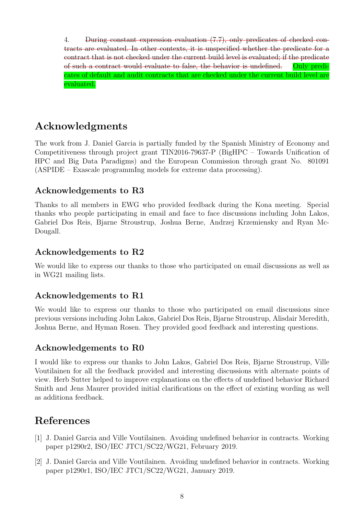4. During constant expression evaluation (7.7), only predicates of checked contracts are evaluated. In other contexts, it is unspecified whether the predicate for a contract that is not checked under the current build level is evaluated; if the predicate of such a contract would evaluate to false, the behavior is undefined. Only predicates of default and audit contracts that are checked under the current build level are evaluated.

# Acknowledgments

The work from J. Daniel Garcia is partially funded by the Spanish Ministry of Economy and Competitiveness through project grant TIN2016-79637-P (BigHPC – Towards Unification of HPC and Big Data Paradigms) and the European Commission through grant No. 801091 (ASPIDE – Exascale programmIng models for extreme data processing).

# Acknowledgements to R3

Thanks to all members in EWG who provided feedback during the Kona meeting. Special thanks who people participating in email and face to face discussions including John Lakos, Gabriel Dos Reis, Bjarne Stroustrup, Joshua Berne, Andrzej Krzemiensky and Ryan Mc-Dougall.

## Acknowledgements to R2

We would like to express our thanks to those who participated on email discussions as well as in WG21 mailing lists.

# Acknowledgements to R1

We would like to express our thanks to those who participated on email discussions since previous versions including John Lakos, Gabriel Dos Reis, Bjarne Stroustrup, Alisdair Meredith, Joshua Berne, and Hyman Rosen. They provided good feedback and interesting questions.

## Acknowledgements to R0

I would like to express our thanks to John Lakos, Gabriel Dos Reis, Bjarne Stroustrup, Ville Voutilainen for all the feedback provided and interesting discussions with alternate points of view. Herb Sutter helped to improve explanations on the effects of undefined behavior Richard Smith and Jens Maurer provided initial clarifications on the effect of existing wording as well as additiona feedback.

# References

- [1] J. Daniel Garcia and Ville Voutilainen. Avoiding undefined behavior in contracts. Working paper p1290r2, ISO/IEC JTC1/SC22/WG21, February 2019.
- [2] J. Daniel Garcia and Ville Voutilainen. Avoiding undefined behavior in contracts. Working paper p1290r1, ISO/IEC JTC1/SC22/WG21, January 2019.